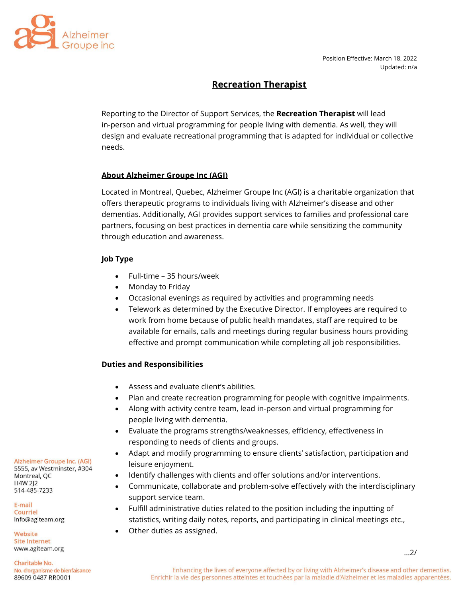

# **Recreation Therapist**

Reporting to the Director of Support Services, the **Recreation Therapist** will lead in-person and virtual programming for people living with dementia. As well, they will design and evaluate recreational programming that is adapted for individual or collective needs.

### **About Alzheimer Groupe Inc (AGI)**

Located in Montreal, Quebec, Alzheimer Groupe Inc (AGI) is a charitable organization that offers therapeutic programs to individuals living with Alzheimer's disease and other dementias. Additionally, AGI provides support services to families and professional care partners, focusing on best practices in dementia care while sensitizing the community through education and awareness.

# **Job Type**

- Full-time 35 hours/week
- Monday to Friday
- Occasional evenings as required by activities and programming needs
- Telework as determined by the Executive Director. If employees are required to work from home because of public health mandates, staff are required to be available for emails, calls and meetings during regular business hours providing effective and prompt communication while completing all job responsibilities.

#### **Duties and Responsibilities**

- Assess and evaluate client's abilities.
- Plan and create recreation programming for people with cognitive impairments.
- Along with activity centre team, lead in-person and virtual programming for people living with dementia.
- Evaluate the programs strengths/weaknesses, efficiency, effectiveness in responding to needs of clients and groups.
- Adapt and modify programming to ensure clients' satisfaction, participation and leisure enjoyment.
- Identify challenges with clients and offer solutions and/or interventions.
- Communicate, collaborate and problem-solve effectively with the interdisciplinary support service team.
- Fulfill administrative duties related to the position including the inputting of statistics, writing daily notes, reports, and participating in clinical meetings etc.,
- Other duties as assigned.

Alzheimer Groupe Inc. (AGI)

5555, av Westminster, #304 Montreal, QC H4W 2J2 514-485-7233

E-mail Courriel info@agiteam.org

Website **Site Internet** www.agiteam.org

Charitable No. No. d'organisme de bienfaisance 89609 0487 RR0001